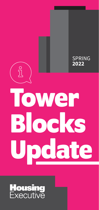

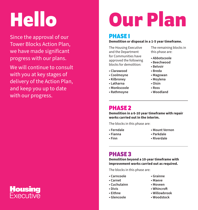# **Hello**

Since the approval of our Tower Blocks Action Plan, we have made significant progress with our plans.

We will continue to consult with you at key stages of delivery of the Action Plan, and keep you up to date with our progress.

# **Our Plan**

# **PHASE 1**

#### **Demolition or disposal in a 1-5 year timeframe.**

The Housing Executive and the Department for Communities have approved the following blocks for demolition:

- **Clarawood**
- **Coolmoyne**
- **Kilbroney**
- **Latharna**
- **Monkscoole**
- **Rathmoyne**

The remaining blocks in this phase are:

- **Abbotscoole**
- **Beechwood**
- **Belvoir**
- **Breda**
- **Magowan**
- **Moylena**
- **Oisin**
- **Ross**
- **Woodland**

# **PHASE 2**

**Demolition in a 6-10 year timeframe with repair works carried out in the interim.** 

The blocks in this phase are:

- 
- **Ferndale Mount Vernon**
- 
- **Fianna Parkdale**
- 
- **Finn Riverdale**

# **PHASE 3**

**Demolition beyond a 10-year timeframe with improvement works carried out as required.** 

The blocks in this phase are:

- **Carncoole Grainne** 
	-
- **Carnet Maeve**
- **Cuchulainn Moveen**
- **Divis Whincrof**
- **Eithne Willowbrook** 
	- **Glencoole Woodstock**

**Housing**<br>Executive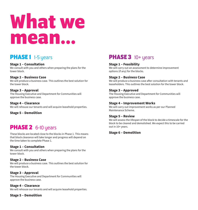# **What we mean…**

# **PHASE 1** 1-5 years

#### **Stage 1 – Consultation**

We consult with you and others when preparing the plans for the tower block.

#### **Stage 2 – Business Case**

We will produce a business case. This outlines the best solution for the tower block.

#### **Stage 3 – Approval**

The Housing Executive and Department for Communities will approve the business case.

**Stage 4 – Clearance** We will rehouse our tenants and will acquire leasehold properties.

**Stage 5 – Demolition** 

# **PHASE 2** 6-10 years

These blocks are located close to the blocks in Phase 1. This means that block clearance will take longer and progress will depend on the time taken to complete Phase 1.

#### **Stage 1 – Consultation**

We consult with you and others when preparing the plans for the tower block.

#### **Stage 2 – Business Case**

We will produce a business case. This outlines the best solution for the tower block.

#### **Stage 3 – Approval**

The Housing Executive and Department for Communities will approve the business case.

**Stage 4 – Clearance** We will rehouse our tenants and will acquire leasehold properties.

#### **Stage 5 – Demolition**

# **PHASE 3** 10+ years

#### **Stage 1 – Feasibility**

We will carry out an assessment to determine improvement options (if any) for the blocks.

#### **Stage 2 – Business Case**

We will produce a business case after consultation with tenants and leaseholders. This outlines the best solution for the tower block.

#### **Stage 3 – Approved**

The Housing Executive and Department for Communities will approve the business case.

#### **Stage 4 – Improvement Works**

We will carry out improvement works as per our Planned Maintenance Scheme.

#### **Stage 5 – Review**

We will assess the lifespan of the block to decide a timescale for the block to be cleared and demolished. We expect this to be carried out in 10+ years.

#### **Stage 6 – Demolition**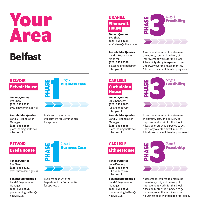# **Your Area**

# **Belfast**

#### **BELVOIR**

**Belvoir House** 

Tenant Queries Eva Shaw **(028) 9598 3211**  eva1.shaw@nihe.gov.uk

Leaseholder Queries Land & Regeneration Manager **(028) 9598 2558**  placeshaping.belfast@ nihe.gov.uk

# **BELVOIR Breda House**

Tenant Queries Eva Shaw **(028) 9598 3211**  eva1.shaw@nihe.gov.uk

Leaseholder Queries Land & Regeneration Manager **(028) 9598 2558**  placeshaping.belfast@ nihe.gov.uk



Business case with the Department for Communities for approval.



Business case with the Department for Communities for approval.

#### **BRANIEL Whincroft House**

Tenant Queries Eva Shaw **(028) 9598 3211**  eva1.shaw@nihe.gov.uk

Leaseholder Queries Land & Regeneration Manager **(028) 9598 2558**  placeshaping.belfast@ nihe.gov.uk

# **CARLISLE Cuchulainn House**

Tenant Queries Julie Kennedy **(028) 9598 2675**  julie.kennedy2@ nihe.gov.uk

Leaseholder Queries Land & Regeneration Manager **(028) 9598 2558**  placeshaping.belfast@ nihe.gov.uk

# **CARLISLE Eithne House**

Tenant Queries Julie Kennedy **(028) 9598 2675**  julie.kennedy2@ nihe.gov.uk

Leaseholder Queries Land & Regeneration Manager **(028) 9598 2558**  placeshaping.belfast@ nihe.gov.uk



Assessment required to determine the nature, cost, and delivery of improvement works for this block. A feasibility study is expected to get underway over the next 6 months. A business case will then be progressed.



Assessment required to determine the nature, cost, and delivery of improvement works for this block. A feasibility study is expected to get underway over the next 6 months. A business case will then be progressed.



Assessment required to determine the nature, cost, and delivery of improvement works for this block. A feasibility study is expected to get underway over the next 6 months. A business case will then be progressed.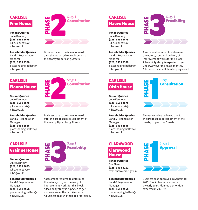# **CARLISLE Finn House**

Tenant Queries Julie Kennedy **(028) 9598 2675**  julie.kennedy2@ nihe.gov.uk

Leaseholder Queries Land & Regeneration Manager **(028) 9598 2558**  placeshaping.belfast@ nihe.gov.uk

# **CARLISLE**

### **Fianna House**

Tenant Queries Julie Kennedy **(028) 9598 2675**  julie.kennedy2@ nihe.gov.uk

#### Leaseholder Queries Land & Regeneration

Manager **(028) 9598 2558**  placeshaping.belfast@ nihe.gov.uk

## **CARLISLE Grainne House**

Tenant Queries Julie Kennedy **(028) 9598 2675**  julie.kennedy2@ nihe.gov.uk

Leaseholder Queries Land & Regeneration Manager **(028) 9598 2558**  placeshaping.belfast@ nihe.gov.uk



Business case to be taken forward after the proposed redevelopment of the nearby Upper Long Streets.

# **PHASE 2**<br>**2**<br>**2**<br>**2**<br>**2**<br>**2 Consultation**

Business case to be taken forward afer the proposed redevelopment of the nearby Upper Long Streets.



Assessment required to determine the nature, cost, and delivery of improvement works for this block. A feasibility study is expected to get underway over the next 6 months. A business case will then be progressed.

# **CARLISLE Maeve House**

Tenant Queries

Julie Kennedy **(028) 9598 2675**  julie.kennedy2@ nihe.gov.uk

Leaseholder Queries Land & Regeneration Manager **(028) 9598 2558**  placeshaping.belfast@ nihe.gov.uk

# **PHASE** Stage 1 **Feasibility**

Assessment required to determine the nature, cost, and delivery of improvement works for this block. A feasibility study is expected to get underway over the next 6 months. A business case will then be progressed.

# **CARLISLE Oisin House**

Tenant Queries Julie Kennedy **(028) 9598 2675**  julie.kennedy2@ nihe.gov.uk

#### Leaseholder Queries

Land & Regeneration Manager **(028) 9598 2558**  placeshaping.belfast@ nihe.gov.uk



Timescale being reviewed due to the proposed redevelopment of the nearby Upper Long Streets.

# **CLARAWOOD Clarawood House**

Tenant Queries Eva Shaw **(028) 9598 3211**  eva1.shaw@nihe.gov.uk

#### Leaseholder Queries

Land & Regeneration Manager **(028) 9598 2558**  placeshaping.belfast@ nihe.gov.uk



Business case approved in September 2021. Block clearance expected by early 2024. Planned demolition expected in 2024/25.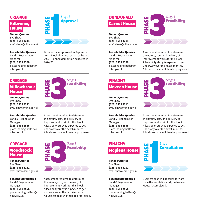# **CREGAGH Kilbroney House**

Tenant Queries Eva Shaw **(028) 9598 3211**  eva1.shaw@nihe.gov.uk

#### Leaseholder Queries

Land & Regeneration Manager **(028) 9598 2558**  placeshaping.belfast@ nihe.gov.uk

#### **CREGAGH**

### **Willowbrook House**

Tenant Queries Eva Shaw **(028) 9598 3211**  eva1.shaw@nihe.gov.uk

#### Leaseholder Queries

Land & Regeneration Manager **(028) 9598 2558**  placeshaping.belfast@ nihe.gov.uk

#### **CREGAGH Woodstock House**

Tenant Queries Eva Shaw **(028) 9598 3211**  eva1.shaw@nihe.gov.uk

Leaseholder Queries Land & Regeneration Manager **(028) 9598 2558**  placeshaping.belfast@ nihe.gov.uk



Business case approved in September 2021. Block clearance expected by late 2023. Planned demolition expected in 2024/25.



Assessment required to determine the nature, cost, and delivery of improvement works for this block. A feasibility study is expected to get underway over the next 6 months. A business case will then be progressed.



Assessment required to determine the nature, cost, and delivery of improvement works for this block. A feasibility study is expected to get underway over the next 6 months. A business case will then be progressed.

# **DUNDONALD Carnet House**

Tenant Queries Eva Shaw **(028) 9598 3211**  eva1.shaw@nihe.gov.uk

Leaseholder Queries Land & Regeneration Manager **(028) 9598 2558**  placeshaping.belfast@ nihe.gov.uk



Assessment required to determine the nature, cost, and delivery of improvement works for this block. A feasibility study is expected to get underway over the next 6 months. A business case will then be progressed.

### **FINAGHY Moveen House**

Tenant Queries

Eva Shaw **(028) 9598 3211**  eva1.shaw@nihe.gov.uk

#### Leaseholder Queries

Land & Regeneration Manager **(028) 9598 2558**  placeshaping.belfast@ nihe.gov.uk



Assessment required to determine the nature, cost, and delivery of improvement works for this block. A feasibility study is expected to get underway over the next 6 months. A business case will then be progressed.

# **FINAGHY Moylena House**

Tenant Queries Eva Shaw **(028) 9598 3211**  eva1.shaw@nihe.gov.uk

#### Leaseholder Queries

Land & Regeneration Manager **(028) 9598 2558**  placeshaping.belfast@ nihe.gov.uk

# **PHASE 1** Stage 1 **Consultation**

Business case will be taken forward once the feasibility study on Moveen House is completed.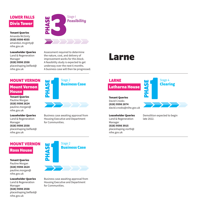# **LOWER FALLS Divis Tower**

Tenant Queries Amanda McGinty **(028) 9598 4555**  amanda1.mcginty@ nihe.gov.uk

#### Leaseholder Queries Land & Regeneration Manager **(028) 9598 2558**  placeshaping.belfast@ nihe.gov.uk

**PHASE Stage 1**<br> **PHASE STARS STARS STARS STARS STARS STARS STARS STARS STARS STARS STARS STARS STARS STARS STARS STARS STARS STARS STARS STARS STARS STARS STARS STARS STARS STARS STARS STARS STARS STARS STARS STARS STARS** Stage 1<br>**Feasibility** 

Assessment required to determine the nature, cost, and delivery of improvement works for this block. A feasibility study is expected to get underway over the next 6 months. A business case will then be progressed.

## **MOUNT VERNON**

### **Mount Vernon House**

Tenant Queries Pauline Morgan **(028) 9598 2624**  pauline.morgan@ nihe.gov.uk

#### Leaseholder Queries

Land & Regeneration Manager **(028) 9598 2558**  placeshaping.belfast@ nihe.gov.uk

# **MOUNT VERNON Ross House**

Tenant Queries Pauline Morgan **(028) 9598 2624**  pauline.morgan@ nihe.gov.uk

Leaseholder Queries Land & Regeneration Manager **(028) 9598 2558**  placeshaping.belfast@ nihe.gov.uk



Business case awaiting approval from Housing Executive and Department for Communities.

# **Larne**

# **LARNE**

# **Latharna House**

Tenant Queries David Crooks **(028) 9598 2874**  david.crooks@nihe.gov.u k

#### Leaseholder Queries

Land & Regeneration Manager **(028) 9598 3915**  placeshaping.north@ nihe.gov.uk

Demolition expected to begin late 2022.

Stage 4 **Clearing** 

**PHASE** 

**PHASE Business Case** 

Stage 2

Business case awaiting approval from Housing Executive and Department for Communities.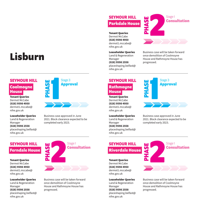# **Lisburn**

#### **SEYMOUR HILL**

#### **Coolmoyne House**

Tenant Queries Dermot McCabe **(028) 9598 4950**  dermot1.mccabe@ nihe.gov.uk

Leaseholder Queries Land & Regeneration Manager **(028) 9598 2558**  placeshaping.belfast@ nihe.gov.uk

# **SEYMOUR HILL Ferndale House**

Tenant Queries Dermot McCabe **(028) 9598 4950**  dermot1.mccabe@ nihe.gov.uk

Leaseholder Queries Land & Regeneration Manager **(028) 9598 2558**  placeshaping.belfast@ nihe.gov.uk



Business case approved in June 2021. Block clearance expected to be completed early 2023.

#### Tenant Queries Dermot McCabe **(028) 9598 4950**

dermot1.mccabe@ nihe.gov.uk Leaseholder Queries

**SEYMOUR HILL Parkdale House** 

Land & Regeneration Manager **(028) 9598 2558**  placeshaping.belfast@ nihe.gov.uk



Business case will be taken forward once demolition of Coolmoyne House and Rathmoyne House has progressed.

# **SEYMOUR HILL Rathmoyne**

**House**  Tenant Queries Dermot McCabe

**(028) 9598 4950**  dermot1.mccabe@ nihe.gov.uk

#### Leaseholder Queries

Land & Regeneration Manager **(028) 9598 2558**  placeshaping.belfast@ nihe.gov.uk



Business case approved in June 2021. Block clearance expected to be completed early 2023.



Business case will be taken forward once demolition of Coolmoyne House and Rathmoyne House has progressed.

**PHASE 2**<br>**2**<br>**2**<br>**2**<br>**2**<br>**2**<br>**2 Consultation** 

Business case will be taken forward once demolition of Coolmoyne House and Rathmoyne House has progressed.

# **SEYMOUR HILL Riverdale House**

Tenant Queries Dermot McCabe **(028) 9598 4950**  dermot1.mccabe@ nihe.gov.uk

#### Leaseholder Queries

Land & Regeneration Manager **(028) 9598 2558**  placeshaping.belfast@ nihe.gov.uk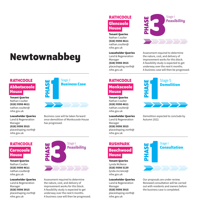# **Newtownabbey**

#### **RATHCOOLE**

#### **Abbotscoole House**

Tenant Queries Nathan Coulter **(028) 9598 4611**  nathan.coulter@ nihe.gov.uk

Leaseholder Queries Land & Regeneration Manager **(028) 9598 3915**  placeshaping.north@ nihe.gov.uk

### **RATHCOOLE Carncoole House**

Tenant Queries Nathan Coulter **(028) 9598 4611**  nathan.coulter@ nihe.gov.uk

Leaseholder Queries Land & Regeneration Manager **(028) 9598 3915**  placeshaping.north@ nihe.gov.uk



Business case will be taken forward once demolition of Monkscoole House has progressed.



Assessment required to determine the nature, cost, and delivery of improvement works for this block. A feasibility study is expected to get underway over the next 6 months. A business case will then be progressed.

## **RATHCOOLE Glencoole House**

Tenant Queries Nathan Coulter **(028) 9598 4611**  nathan.coulter@ nihe.gov.uk

Leaseholder Queries Land & Regeneration Manager **(028) 9598 3915**  placeshaping.north@ nihe.gov.uk

# **RATHCOOLE Monkscoole**

**House** 

Tenant Queries Nathan Coulter **(028) 9598 4611**  nathan.coulter@ nihe.gov.uk

#### Leaseholder Queries

Land & Regeneration Manager **(028) 9598 3915**  placeshaping.north@ nihe.gov.uk

# **RUSHPARK Beechwood House**

Tenant Queries Lynda McNeice **(028) 9598 5139**  lynda.mcneice@ nihe.gov.uk

Leaseholder Queries Land & Regeneration Manager **(028) 9598 3915**  placeshaping.north@ nihe.gov.uk



Assessment required to determine the nature, cost, and delivery of improvement works for this block. A feasibility study is expected to get underway over the next 6 months. A business case will then be progressed.

# **PHASE** Stage 5 **Demolition**



Demolition expected to conclude by Autumn 2022.



Our proposals are under review. Renewed consultation will be carried out with residents and owners before the business case is completed.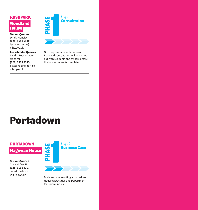# **RUSHPARK Woodland House**

Tenant Queries Lynda McNeice **(028) 9598 5139**  lynda.mcneice@ nihe.gov.uk

Leaseholder Queries Land & Regeneration Manager **(028) 9598 3915**  placeshaping.north@ nihe.gov.uk



Our proposals are under review. Renewed consultation will be carried out with residents and owners before the business case is completed.

# **Portadown**

## **PORTADOWN Magowan House**

Tenant Queries Ciara McDevitt **(028) 9598 4357**  ciara1.mcdevitt @nihe.gov.uk



Business case awaiting approval from Housing Executive and Department for Communities.